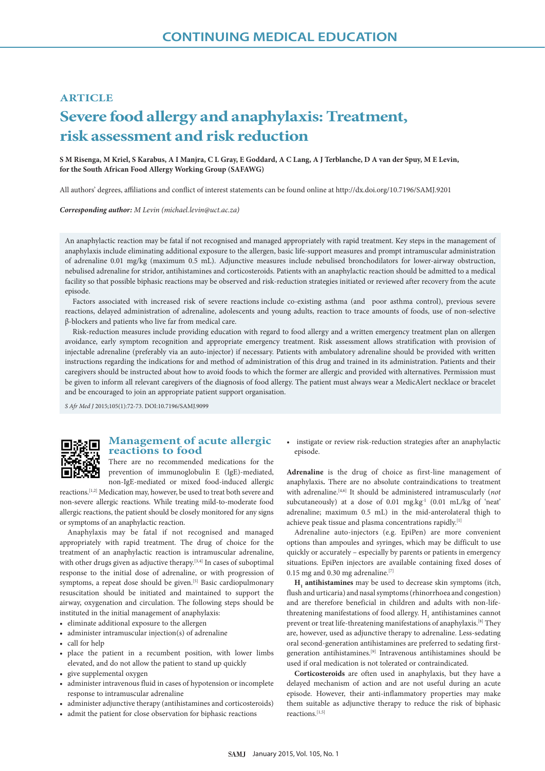## **ARTICLE**

# **Severe food allergy and anaphylaxis: Treatment, risk assessment and risk reduction**

**S M Risenga, M Kriel, S Karabus, A I Manjra, C L Gray, E Goddard, A C Lang, A J Terblanche, D A van der Spuy, M E Levin, for the South African Food Allergy Working Group (SAFAWG)** 

All authors' degrees, affiliations and conflict of interest statements can be found online at http://dx.doi.org/10.7196/SAMJ.9201

*Corresponding author: M Levin (michael.levin@uct.ac.za)*

An anaphylactic reaction may be fatal if not recognised and managed appropriately with rapid treatment. Key steps in the management of anaphylaxis include eliminating additional exposure to the allergen, basic life-support measures and prompt intramuscular administration of adrenaline 0.01 mg/kg (maximum 0.5 mL). Adjunctive measures include nebulised bronchodilators for lower-airway obstruction, nebulised adrenaline for stridor, antihistamines and corticosteroids. Patients with an anaphylactic reaction should be admitted to a medical facility so that possible biphasic reactions may be observed and risk-reduction strategies initiated or reviewed after recovery from the acute episode.

Factors associated with increased risk of severe reactions include co-existing asthma (and poor asthma control), previous severe reactions, delayed administration of adrenaline, adolescents and young adults, reaction to trace amounts of foods, use of non-selective β-blockers and patients who live far from medical care.

Risk-reduction measures include providing education with regard to food allergy and a written emergency treatment plan on allergen avoidance, early symptom recognition and appropriate emergency treatment. Risk assessment allows stratification with provision of injectable adrenaline (preferably via an auto-injector) if necessary. Patients with ambulatory adrenaline should be provided with written instructions regarding the indications for and method of administration of this drug and trained in its administration. Patients and their caregivers should be instructed about how to avoid foods to which the former are allergic and provided with alternatives. Permission must be given to inform all relevant caregivers of the diagnosis of food allergy. The patient must always wear a MedicAlert necklace or bracelet and be encouraged to join an appropriate patient support organisation.

*S Afr Med J* 2015;105(1):72-73. DOI:10.7196/SAMJ.9099



## **Management of acute allergic reactions to food**

There are no recommended medications for the prevention of immunoglobulin E (IgE)-mediated, non-IgE-mediated or mixed food-induced allergic

reactions.[1,2] Medication may, however, be used to treat both severe and non-severe allergic reactions. While treating mild-to-moderate food allergic reactions, the patient should be closely monitored for any signs or symptoms of an anaphylactic reaction.

Anaphylaxis may be fatal if not recognised and managed appropriately with rapid treatment. The drug of choice for the treatment of an anaphylactic reaction is intramuscular adrenaline, with other drugs given as adjuctive therapy.<sup>[3,4]</sup> In cases of suboptimal response to the initial dose of adrenaline, or with progression of symptoms, a repeat dose should be given.<sup>[5]</sup> Basic cardiopulmonary resuscitation should be initiated and maintained to support the airway, oxygenation and circulation. The following steps should be instituted in the initial management of anaphylaxis:

- eliminate additional exposure to the allergen
- administer intramuscular injection(s) of adrenaline
- call for help
- place the patient in a recumbent position, with lower limbs elevated, and do not allow the patient to stand up quickly
- give supplemental oxygen
- administer intravenous fluid in cases of hypotension or incomplete response to intramuscular adrenaline
- administer adjunctive therapy (antihistamines and corticosteroids)
- admit the patient for close observation for biphasic reactions

• instigate or review risk-reduction strategies after an anaphylactic episode.

**Adrenaline** is the drug of choice as first-line management of anaphylaxis**.** There are no absolute contraindications to treatment with adrenaline.<sup>[4,6]</sup> It should be administered intramuscularly (not subcutaneously) at a dose of 0.01 mg.kg<sup>-1</sup> (0.01 mL/kg of 'neat' adrenaline; maximum 0.5 mL) in the mid-anterolateral thigh to achieve peak tissue and plasma concentrations rapidly.[1]

Adrenaline auto-injectors (e.g. EpiPen) are more convenient options than ampoules and syringes, which may be difficult to use quickly or accurately – especially by parents or patients in emergency situations. EpiPen injectors are available containing fixed doses of 0.15 mg and 0.30 mg adrenaline. $[7]$ 

 $H<sub>1</sub>$  antihistamines may be used to decrease skin symptoms (itch, flush and urticaria) and nasal symptoms (rhinorrhoea and congestion) and are therefore beneficial in children and adults with non-lifethreatening manifestations of food allergy.  $\mathbf{H}_{_{\!1}}$  antihistamines cannot prevent or treat life-threatening manifestations of anaphylaxis.[8] They are, however, used as adjunctive therapy to adrenaline. Less-sedating oral second-generation antihistamines are preferred to sedating firstgeneration antihistamines.[9] Intravenous antihistamines should be used if oral medication is not tolerated or contraindicated.

**Corticosteroids** are often used in anaphylaxis, but they have a delayed mechanism of action and are not useful during an acute episode. However, their anti-inflammatory properties may make them suitable as adjunctive therapy to reduce the risk of biphasic  $reactions.<sup>[1,5]</sup>$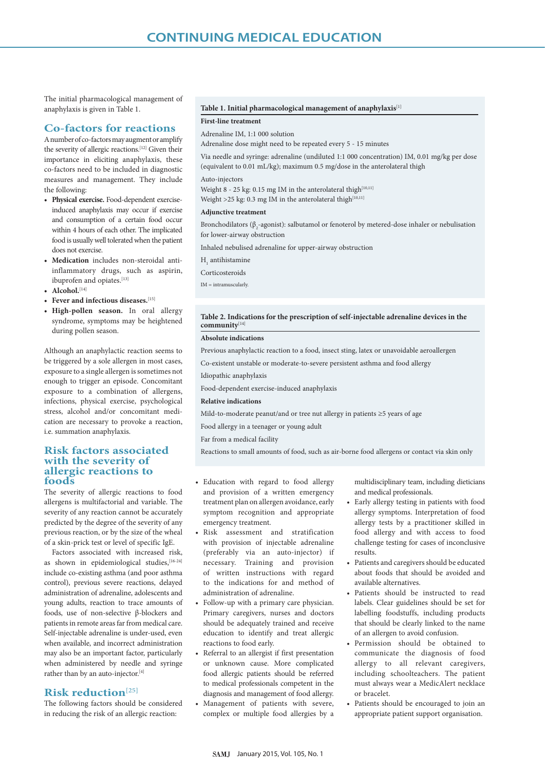The initial pharmacological management of anaphylaxis is given in Table 1.

## **Co-factors for reactions**

A number of co-factors may augment or amplify the severity of allergic reactions.<sup>[12]</sup> Given their importance in eliciting anaphylaxis, these co-factors need to be included in diagnostic measures and management. They include the following:

- **• Physical exercise.** Food-dependent exerciseinduced anaphylaxis may occur if exercise and consumption of a certain food occur within 4 hours of each other. The implicated food is usually well tolerated when the patient does not exercise.
- **• Medication** includes non-steroidal antiinflammatory drugs, such as aspirin, ibuprofen and opiates.<sup>[13]</sup> • **Alcohol.**<sup>[14]</sup>
- **• Fever and infectious diseases.**[15]
- **• High-pollen season.** In oral allergy syndrome, symptoms may be heightened during pollen season.

Although an anaphylactic reaction seems to be triggered by a sole allergen in most cases, exposure to a single allergen is sometimes not enough to trigger an episode. Concomitant exposure to a combination of allergens, infections, physical exercise, psychological stress, alcohol and/or concomitant medication are necessary to provoke a reaction, i.e. summation anaphylaxis.

## **Risk factors associated with the severity of allergic reactions to foods**

The severity of allergic reactions to food allergens is multifactorial and variable. The severity of any reaction cannot be accurately predicted by the degree of the severity of any previous reaction, or by the size of the wheal of a skin-prick test or level of specific IgE.

Factors associated with increased risk, as shown in epidemiological studies, <a>[16-24]</a> include co-existing asthma (and poor asthma control), previous severe reactions, delayed administration of adrenaline, adolescents and young adults, reaction to trace amounts of foods, use of non-selective β-blockers and patients in remote areas far from medical care. Self-injectable adrenaline is under-used, even when available, and incorrect administration may also be an important factor, particularly when administered by needle and syringe rather than by an auto-injector.<sup>[4]</sup>

## **Risk reduction**[25]

The following factors should be considered in reducing the risk of an allergic reaction:

## **Table 1. Initial pharmacological management of anaphylaxis**[1]

#### **First-line treatment**

Adrenaline IM, 1:1 000 solution

Adrenaline dose might need to be repeated every 5 - 15 minutes

Via needle and syringe: adrenaline (undiluted 1:1 000 concentration) IM, 0.01 mg/kg per dose (equivalent to 0.01 mL/kg); maximum 0.5 mg/dose in the anterolateral thigh

Auto-injectors

Weight  $8 - 25$  kg: 0.15 mg IM in the anterolateral thigh<sup>[10,11]</sup>

Weight >25 kg: 0.3 mg IM in the anterolateral thigh<sup>[10,11]</sup>

#### **Adjunctive treatment**

Bronchodilators ( $\beta_2$ -agonist): salbutamol or fenoterol by metered-dose inhaler or nebulisation for lower-airway obstruction

Inhaled nebulised adrenaline for upper-airway obstruction

 $\rm H_{_1}$  antihistamine Corticosteroids

IM = intramuscularly.

## **Table 2. Indications for the prescription of self-injectable adrenaline devices in the community**[14]

#### **Absolute indications**

Previous anaphylactic reaction to a food, insect sting, latex or unavoidable aeroallergen

Co-existent unstable or moderate-to-severe persistent asthma and food allergy

Idiopathic anaphylaxis

Food-dependent exercise-induced anaphylaxis

#### **Relative indications**

Mild-to-moderate peanut/and or tree nut allergy in patients ≥5 years of age

Food allergy in a teenager or young adult

Far from a medical facility

Reactions to small amounts of food, such as air-borne food allergens or contact via skin only

- Education with regard to food allergy and provision of a written emergency treatment plan on allergen avoidance, early symptom recognition and appropriate emergency treatment.
- Risk assessment and stratification with provision of injectable adrenaline (preferably via an auto-injector) if necessary. Training and provision of written instructions with regard to the indications for and method of administration of adrenaline.
- Follow-up with a primary care physician. Primary caregivers, nurses and doctors should be adequately trained and receive education to identify and treat allergic reactions to food early.
- Referral to an allergist if first presentation or unknown cause. More complicated food allergic patients should be referred to medical professionals competent in the diagnosis and management of food allergy.
- Management of patients with severe, complex or multiple food allergies by a

multidisciplinary team, including dieticians and medical professionals.

- Early allergy testing in patients with food allergy symptoms. Interpretation of food allergy tests by a practitioner skilled in food allergy and with access to food challenge testing for cases of inconclusive results.
- Patients and caregivers should be educated about foods that should be avoided and available alternatives.
- Patients should be instructed to read labels. Clear guidelines should be set for labelling foodstuffs, including products that should be clearly linked to the name of an allergen to avoid confusion.
- Permission should be obtained to communicate the diagnosis of food allergy to all relevant caregivers, including schoolteachers. The patient must always wear a MedicAlert necklace or bracelet.
- Patients should be encouraged to join an appropriate patient support organisation.